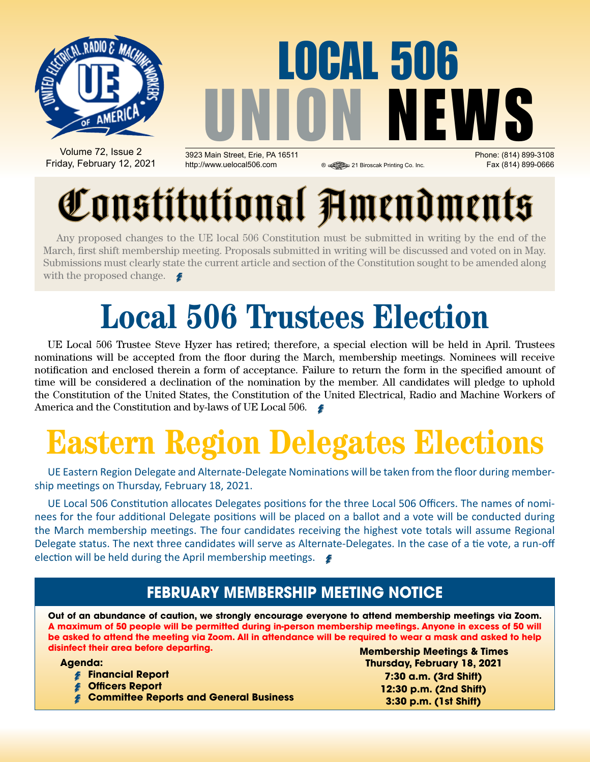

## LOCAL 506 UNION NEWS 3923 Main Street, Erie, PA 16511 Phone: (814) 899-3108

Volume 72, Issue 2 Friday, February 12, 2021

http://www.uelocal506.com 
<br> **a** a 21 Biroscak Printing Co. Inc. Fax (814) 899-0666

# Constitutional Amendments

Any proposed changes to the UE local 506 Constitution must be submitted in writing by the end of the March, first shift membership meeting. Proposals submitted in writing will be discussed and voted on in May. Submissions must clearly state the current article and section of the Constitution sought to be amended along with the proposed change.  $\blacktriangle$ 

## **Local 506 Trustees Election**

UE Local 506 Trustee Steve Hyzer has retired; therefore, a special election will be held in April. Trustees nominations will be accepted from the floor during the March, membership meetings. Nominees will receive notification and enclosed therein a form of acceptance. Failure to return the form in the specified amount of time will be considered a declination of the nomination by the member. All candidates will pledge to uphold the Constitution of the United States, the Constitution of the United Electrical, Radio and Machine Workers of America and the Constitution and by-laws of UE Local 506.

## **Eastern Region Delegates Elections**

UE Eastern Region Delegate and Alternate-Delegate Nominations will be taken from the floor during membership meetings on Thursday, February 18, 2021.

UE Local 506 Constitution allocates Delegates positions for the three Local 506 Officers. The names of nominees for the four additional Delegate positions will be placed on a ballot and a vote will be conducted during the March membership meetings. The four candidates receiving the highest vote totals will assume Regional Delegate status. The next three candidates will serve as Alternate-Delegates. In the case of a tie vote, a run-off election will be held during the April membership meetings.  $\blacktriangleright$ 

### **FEBRUARY Membership Meeting Notice**

**Out of an abundance of caution, we strongly encourage everyone to attend membership meetings via Zoom. A maximum of 50 people will be permitted during in-person membership meetings. Anyone in excess of 50 will be asked to attend the meeting via Zoom. All in attendance will be required to wear a mask and asked to help disinfect their area before departing.**

**Agenda:** 

- **Financial Report**
- **Officers Report**
- **Committee Reports and General Business**

**Membership Meetings & Times Thursday, February 18, 2021 7:30 a.m. (3rd Shift) 12:30 p.m. (2nd Shift) 3:30 p.m. (1st Shift)**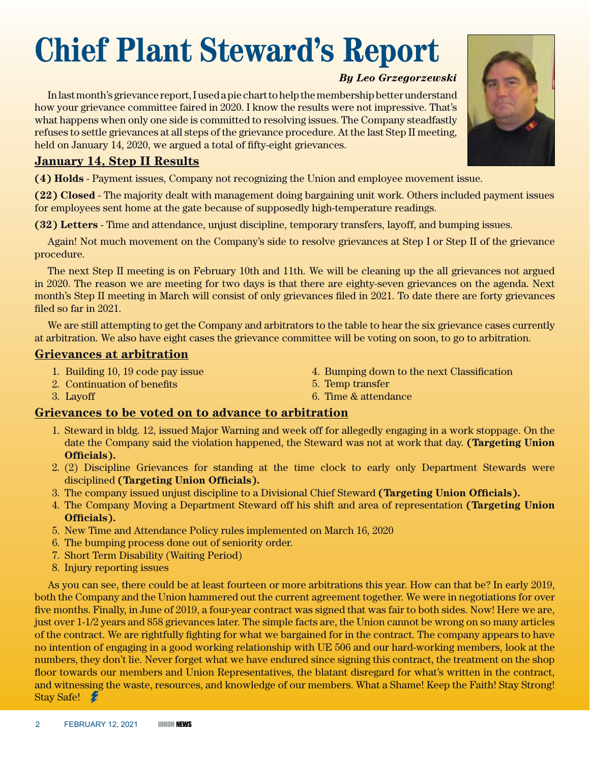## **Chief Plant Steward's Report**

#### *By Leo Grzegorzewski*

In last month's grievance report, I used a pie chart to help the membership better understand how your grievance committee faired in 2020. I know the results were not impressive. That's what happens when only one side is committed to resolving issues. The Company steadfastly refuses to settle grievances at all steps of the grievance procedure. At the last Step II meeting, held on January 14, 2020, we argued a total of fifty-eight grievances.

#### **January 14, Step II Results**

**(4) Holds** - Payment issues, Company not recognizing the Union and employee movement issue.

**(22) Closed** - The majority dealt with management doing bargaining unit work. Others included payment issues for employees sent home at the gate because of supposedly high-temperature readings.

**(32) Letters** - Time and attendance, unjust discipline, temporary transfers, layoff, and bumping issues.

Again! Not much movement on the Company's side to resolve grievances at Step I or Step II of the grievance procedure.

The next Step II meeting is on February 10th and 11th. We will be cleaning up the all grievances not argued in 2020. The reason we are meeting for two days is that there are eighty-seven grievances on the agenda. Next month's Step II meeting in March will consist of only grievances filed in 2021. To date there are forty grievances filed so far in 2021.

We are still attempting to get the Company and arbitrators to the table to hear the six grievance cases currently at arbitration. We also have eight cases the grievance committee will be voting on soon, to go to arbitration.

#### **Grievances at arbitration**

3. Layoff

- 1. Building 10, 19 code pay issue
- 2. Continuation of benefits
- 4. Bumping down to the next Classification
- 5. Temp transfer
- 6. Time & attendance

#### **Grievances to be voted on to advance to arbitration**

- 1. Steward in bldg. 12, issued Major Warning and week off for allegedly engaging in a work stoppage. On the date the Company said the violation happened, the Steward was not at work that day. **(Targeting Union Officials).**
- 2. (2) Discipline Grievances for standing at the time clock to early only Department Stewards were disciplined **(Targeting Union Officials).**
- 3. The company issued unjust discipline to a Divisional Chief Steward **(Targeting Union Officials).**
- 4. The Company Moving a Department Steward off his shift and area of representation **(Targeting Union Officials).**
- 5. New Time and Attendance Policy rules implemented on March 16, 2020
- 6. The bumping process done out of seniority order.
- 7. Short Term Disability (Waiting Period)
- 8. Injury reporting issues

As you can see, there could be at least fourteen or more arbitrations this year. How can that be? In early 2019, both the Company and the Union hammered out the current agreement together. We were in negotiations for over five months. Finally, in June of 2019, a four-year contract was signed that was fair to both sides. Now! Here we are, just over 1-1/2 years and 858 grievances later. The simple facts are, the Union cannot be wrong on so many articles of the contract. We are rightfully fighting for what we bargained for in the contract. The company appears to have no intention of engaging in a good working relationship with UE 506 and our hard-working members, look at the numbers, they don't lie. Never forget what we have endured since signing this contract, the treatment on the shop floor towards our members and Union Representatives, the blatant disregard for what's written in the contract, and witnessing the waste, resources, and knowledge of our members. What a Shame! Keep the Faith! Stay Strong! Stay Safe!

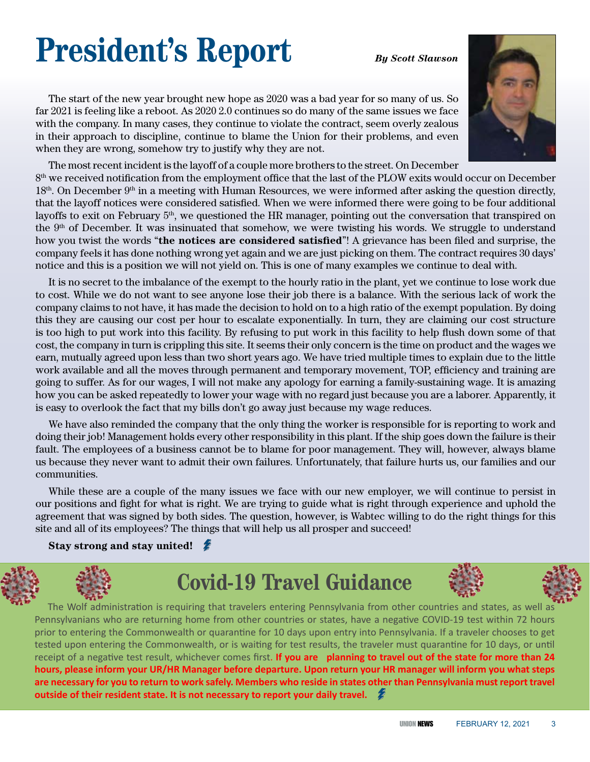## **President's Report** *By Scott Slawson*



The start of the new year brought new hope as 2020 was a bad year for so many of us. So far 2021 is feeling like a reboot. As 2020 2.0 continues so do many of the same issues we face with the company. In many cases, they continue to violate the contract, seem overly zealous in their approach to discipline, continue to blame the Union for their problems, and even when they are wrong, somehow try to justify why they are not.

The most recent incident is the layoff of a couple more brothers to the street. On December  $8<sup>th</sup>$  we received notification from the employment office that the last of the PLOW exits would occur on December  $18<sup>th</sup>$ . On December  $9<sup>th</sup>$  in a meeting with Human Resources, we were informed after asking the question directly, that the layoff notices were considered satisfied. When we were informed there were going to be four additional layoffs to exit on February 5<sup>th</sup>, we questioned the HR manager, pointing out the conversation that transpired on the 9<sup>th</sup> of December. It was insinuated that somehow, we were twisting his words. We struggle to understand how you twist the words "**the notices are considered satisfied**"! A grievance has been filed and surprise, the company feels it has done nothing wrong yet again and we are just picking on them. The contract requires 30 days' notice and this is a position we will not yield on. This is one of many examples we continue to deal with.

It is no secret to the imbalance of the exempt to the hourly ratio in the plant, yet we continue to lose work due to cost. While we do not want to see anyone lose their job there is a balance. With the serious lack of work the company claims to not have, it has made the decision to hold on to a high ratio of the exempt population. By doing this they are causing our cost per hour to escalate exponentially. In turn, they are claiming our cost structure is too high to put work into this facility. By refusing to put work in this facility to help flush down some of that cost, the company in turn is crippling this site. It seems their only concern is the time on product and the wages we earn, mutually agreed upon less than two short years ago. We have tried multiple times to explain due to the little work available and all the moves through permanent and temporary movement, TOP, efficiency and training are going to suffer. As for our wages, I will not make any apology for earning a family-sustaining wage. It is amazing how you can be asked repeatedly to lower your wage with no regard just because you are a laborer. Apparently, it is easy to overlook the fact that my bills don't go away just because my wage reduces.

We have also reminded the company that the only thing the worker is responsible for is reporting to work and doing their job! Management holds every other responsibility in this plant. If the ship goes down the failure is their fault. The employees of a business cannot be to blame for poor management. They will, however, always blame us because they never want to admit their own failures. Unfortunately, that failure hurts us, our families and our communities.

While these are a couple of the many issues we face with our new employer, we will continue to persist in our positions and fight for what is right. We are trying to guide what is right through experience and uphold the agreement that was signed by both sides. The question, however, is Wabtec willing to do the right things for this site and all of its employees? The things that will help us all prosper and succeed!

#### **Stay strong and stay united!**



## **Covid-19 Travel Guidance**





The Wolf administration is requiring that travelers entering Pennsylvania from other countries and states, as well as Pennsylvanians who are returning home from other countries or states, have a negative COVID-19 test within 72 hours prior to entering the Commonwealth or quarantine for 10 days upon entry into Pennsylvania. If a traveler chooses to get tested upon entering the Commonwealth, or is waiting for test results, the traveler must quarantine for 10 days, or until receipt of a negative test result, whichever comes first. **If you are planning to travel out of the state for more than 24 hours, please inform your UR/HR Manager before departure. Upon return your HR manager will inform you what steps are necessary for you to return to work safely. Members who reside in states other than Pennsylvania must report travel outside of their resident state. It is not necessary to report your daily travel.**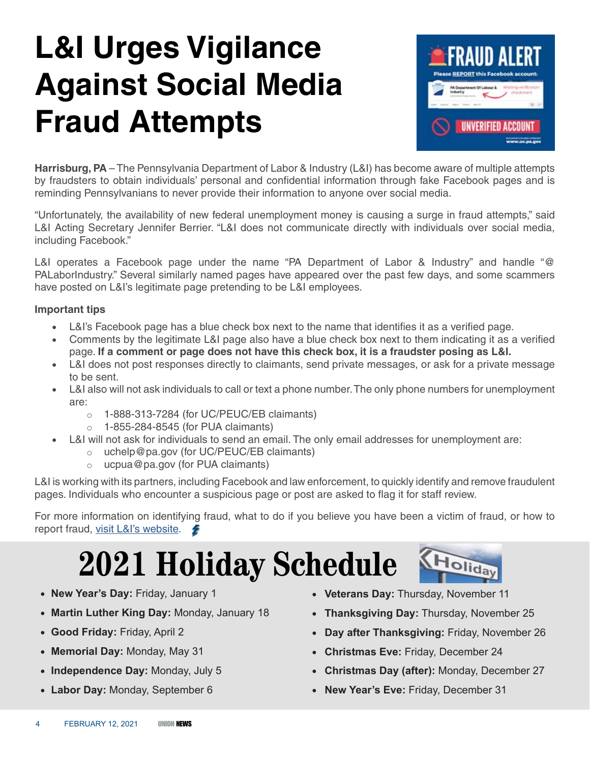## **L&I Urges Vigilance Against Social Media Fraud Attempts**



**Harrisburg, PA** – The Pennsylvania Department of Labor & Industry (L&I) has become aware of multiple attempts by fraudsters to obtain individuals' personal and confidential information through fake Facebook pages and is reminding Pennsylvanians to never provide their information to anyone over social media.

"Unfortunately, the availability of new federal unemployment money is causing a surge in fraud attempts," said L&I Acting Secretary Jennifer Berrier. "L&I does not communicate directly with individuals over social media, including Facebook."

L&I operates a Facebook page under the name "PA Department of Labor & Industry" and handle "@ PALaborIndustry." Several similarly named pages have appeared over the past few days, and some scammers have posted on L&I's legitimate page pretending to be L&I employees.

#### **Important tips**

- L&I's Facebook page has a blue check box next to the name that identifies it as a verified page.
- Comments by the legitimate L&I page also have a blue check box next to them indicating it as a verified page. **If a comment or page does not have this check box, it is a fraudster posing as L&I.**
- L&I does not post responses directly to claimants, send private messages, or ask for a private message to be sent.
- L&I also will not ask individuals to call or text a phone number. The only phone numbers for unemployment are:
	- o 1-888-313-7284 (for UC/PEUC/EB claimants)
	- $\circ$  1-855-284-8545 (for PUA claimants)
	- L&I will not ask for individuals to send an email. The only email addresses for unemployment are:
		- o uchelp@pa.gov (for UC/PEUC/EB claimants)
		- $\circ$  ucpua@pa.gov (for PUA claimants)

L&I is working with its partners, including Facebook and law enforcement, to quickly identify and remove fraudulent pages. Individuals who encounter a suspicious page or post are asked to flag it for staff review.

For more information on identifying fraud, what to do if you believe you have been a victim of fraud, or how to report fraud, visit L&I's website.

## **2021 Holiday Schedule**

- • **New Year's Day:** Friday, January 1
- • **Martin Luther King Day:** Monday, January 18
- • **Good Friday:** Friday, April 2
- • **Memorial Day:** Monday, May 31
- • **Independence Day:** Monday, July 5
- • **Labor Day:** Monday, September 6
- • **Veterans Day:** Thursday, November 11
- • **Thanksgiving Day:** Thursday, November 25
- • **Day after Thanksgiving:** Friday, November 26

**Tolida** 

- • **Christmas Eve:** Friday, December 24
- • **Christmas Day (after):** Monday, December 27
- • **New Year's Eve:** Friday, December 31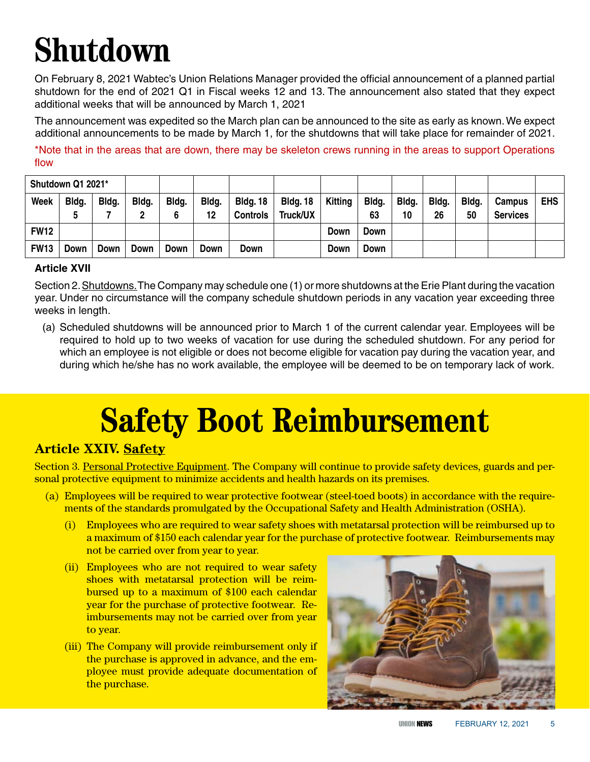## **Shutdown**

On February 8, 2021 Wabtec's Union Relations Manager provided the official announcement of a planned partial shutdown for the end of 2021 Q1 in Fiscal weeks 12 and 13. The announcement also stated that they expect additional weeks that will be announced by March 1, 2021

The announcement was expedited so the March plan can be announced to the site as early as known. We expect additional announcements to be made by March 1, for the shutdowns that will take place for remainder of 2021.

\*Note that in the areas that are down, there may be skeleton crews running in the areas to support Operations flow

| Shutdown Q1 2021* |            |             |             |            |             |                                    |                             |         |             |             |             |             |                           |            |
|-------------------|------------|-------------|-------------|------------|-------------|------------------------------------|-----------------------------|---------|-------------|-------------|-------------|-------------|---------------------------|------------|
| <b>Week</b>       | Bldg.<br>5 | Bldg.       | Bldg.       | Bldg.<br>6 | Bldg.<br>12 | <b>Bldg. 18</b><br><b>Controls</b> | <b>Bldg. 18</b><br>Truck/UX | Kitting | Bldg.<br>63 | Bldg.<br>10 | Bldg.<br>26 | Bldg.<br>50 | Campus<br><b>Services</b> | <b>EHS</b> |
| <b>FW12</b>       |            |             |             |            |             |                                    |                             | Down    | <b>Down</b> |             |             |             |                           |            |
| <b>FW13</b>       | Down       | <b>Down</b> | <b>Down</b> | Down       | Down        | Down                               |                             | Down    | Down        |             |             |             |                           |            |

#### **Article XVII**

Section 2. Shutdowns. The Company may schedule one (1) or more shutdowns at the Erie Plant during the vacation year. Under no circumstance will the company schedule shutdown periods in any vacation year exceeding three weeks in length.

(a) Scheduled shutdowns will be announced prior to March 1 of the current calendar year. Employees will be required to hold up to two weeks of vacation for use during the scheduled shutdown. For any period for which an employee is not eligible or does not become eligible for vacation pay during the vacation year, and during which he/she has no work available, the employee will be deemed to be on temporary lack of work.

## **Safety Boot Reimbursement**

### **Article XXIV. Safety**

Section 3. Personal Protective Equipment. The Company will continue to provide safety devices, guards and personal protective equipment to minimize accidents and health hazards on its premises.

- (a) Employees will be required to wear protective footwear (steel-toed boots) in accordance with the requirements of the standards promulgated by the Occupational Safety and Health Administration (OSHA).
	- (i) Employees who are required to wear safety shoes with metatarsal protection will be reimbursed up to a maximum of \$150 each calendar year for the purchase of protective footwear. Reimbursements may not be carried over from year to year.
	- (ii) Employees who are not required to wear safety shoes with metatarsal protection will be reimbursed up to a maximum of \$100 each calendar year for the purchase of protective footwear. Reimbursements may not be carried over from year to year.
	- (iii) The Company will provide reimbursement only if the purchase is approved in advance, and the employee must provide adequate documentation of the purchase.

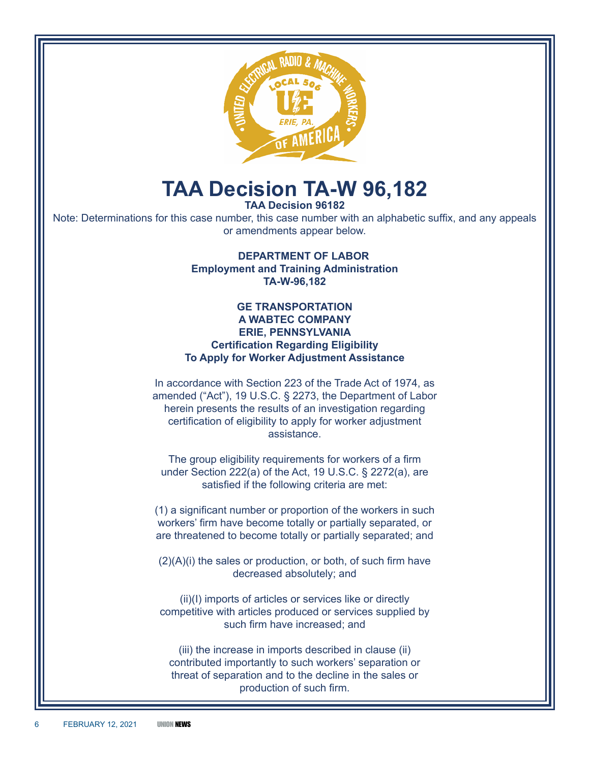

### **TAA Decision TA-W 96,182**

**TAA Decision 96182**

Note: Determinations for this case number, this case number with an alphabetic suffix, and any appeals or amendments appear below.

> **DEPARTMENT OF LABOR Employment and Training Administration TA-W-96,182**

#### **GE TRANSPORTATION A WABTEC COMPANY ERIE, PENNSYLVANIA Certification Regarding Eligibility To Apply for Worker Adjustment Assistance**

In accordance with Section 223 of the Trade Act of 1974, as amended ("Act"), 19 U.S.C. § 2273, the Department of Labor herein presents the results of an investigation regarding certification of eligibility to apply for worker adjustment assistance.

The group eligibility requirements for workers of a firm under Section 222(a) of the Act, 19 U.S.C. § 2272(a), are satisfied if the following criteria are met:

(1) a significant number or proportion of the workers in such workers' firm have become totally or partially separated, or are threatened to become totally or partially separated; and

 $(2)(A)(i)$  the sales or production, or both, of such firm have decreased absolutely; and

(ii)(I) imports of articles or services like or directly competitive with articles produced or services supplied by such firm have increased; and

(iii) the increase in imports described in clause (ii) contributed importantly to such workers' separation or threat of separation and to the decline in the sales or production of such firm.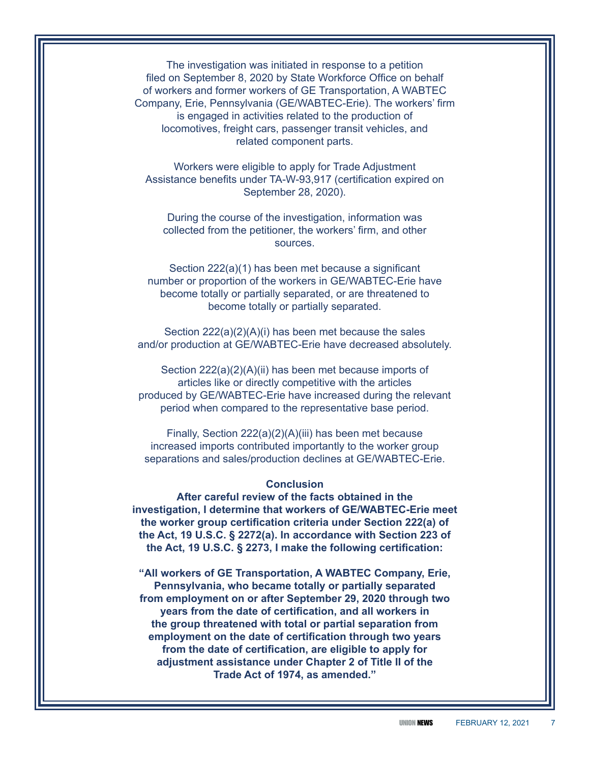The investigation was initiated in response to a petition filed on September 8, 2020 by State Workforce Office on behalf of workers and former workers of GE Transportation, A WABTEC Company, Erie, Pennsylvania (GE/WABTEC-Erie). The workers' firm is engaged in activities related to the production of locomotives, freight cars, passenger transit vehicles, and related component parts.

Workers were eligible to apply for Trade Adjustment Assistance benefits under TA-W-93,917 (certification expired on September 28, 2020).

During the course of the investigation, information was collected from the petitioner, the workers' firm, and other sources.

Section 222(a)(1) has been met because a significant number or proportion of the workers in GE/WABTEC-Erie have become totally or partially separated, or are threatened to become totally or partially separated.

Section 222(a)(2)(A)(i) has been met because the sales and/or production at GE/WABTEC-Erie have decreased absolutely.

Section 222(a)(2)(A)(ii) has been met because imports of articles like or directly competitive with the articles produced by GE/WABTEC-Erie have increased during the relevant period when compared to the representative base period.

Finally, Section 222(a)(2)(A)(iii) has been met because increased imports contributed importantly to the worker group separations and sales/production declines at GE/WABTEC-Erie.

#### **Conclusion**

**After careful review of the facts obtained in the investigation, I determine that workers of GE/WABTEC-Erie meet the worker group certification criteria under Section 222(a) of the Act, 19 U.S.C. § 2272(a). In accordance with Section 223 of the Act, 19 U.S.C. § 2273, I make the following certification:**

**"All workers of GE Transportation, A WABTEC Company, Erie, Pennsylvania, who became totally or partially separated from employment on or after September 29, 2020 through two years from the date of certification, and all workers in the group threatened with total or partial separation from employment on the date of certification through two years from the date of certification, are eligible to apply for adjustment assistance under Chapter 2 of Title II of the Trade Act of 1974, as amended."**